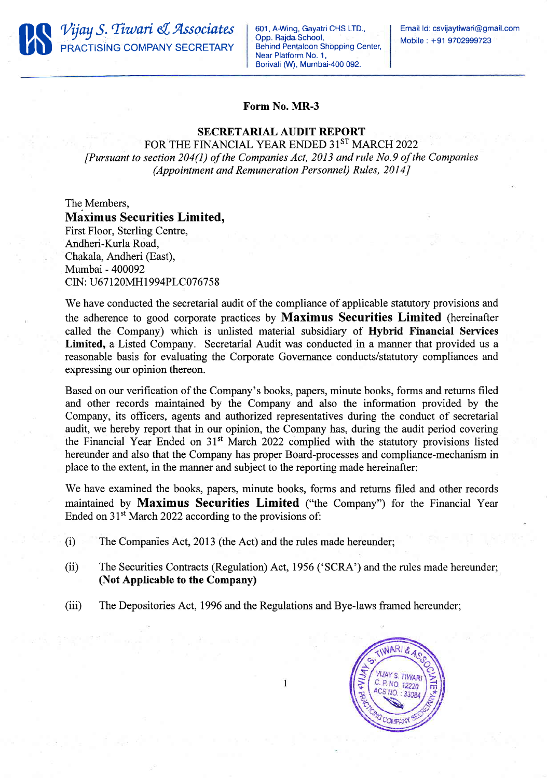

601 , A-Wing, Gayatri CHS LTD. Opp. Rajda School, Behind Pentaloon Shopping Center, Near Platform No. 1, Borivali (W), Mumbai-400 092.

Email Id: csvijaytiwari@gmail.com Mobile : +91 9702999723

## Form No. MR-3

## SECRETARIAL AUDIT REPORT

FOR THE FINANCIAL YEAR ENDED 31ST MARCH 2022  $[Pursuant to section 204(1) of the Companies Act, 2013 and rule No.9 of the Companies]$ (Appointment and Remuneration Personnel) Rules, 2014]

## The Members, Maximus Securities Limited,

First Floor, Sterling Centre, Andheri-Kurla Road, Chakala, Andheri (East), Mumbai - 400092 CIN: U67120MH1994PLC076758

We have conducted the secretarial audit of the compliance of applicable statutory provisions and the adherence to good corporate practices by Maximus Securities Limited (hereinafter called the Company) which is unlisted material subsidiary of Hybrid Financial Services Limited, a Listed Company. Secretarial Audit was conducted in a manner that provided us a reasonable basis for evaluating the Corporate Governance conducts/statutory compliances and expressing our opinion thereon.

Based on our verification of the Company's books, papers, minute books, forms and returns filed and other records maintained by the Company and also the information provided by the Company, its officers, agents and authorized representatives during the conduct of secretarial audit, we hereby report that in our opinion, the Company has, during the audit period covering the Financial Year Ended on 31't March 2022 complied with the statutory provisions listed hereunder and also that the Company has proper Board-processes and compliance-mechanism in place to the extent, in the manner and subject to the reporting made hereinafter:

We have examined the books, papers, minute books, forms and returns filed and other records maintained by Maximus Securities Limited ("the Company") for the Financial Year Ended on 31<sup>st</sup> March 2022 according to the provisions of:

- $(i)$  The Companies Act, 2013 (the Act) and the rules made hereunder;
- (ii) The Securities Contracts (Regulation) Act, 1956 ('SCRA') and the rules made hereunder; (Not Applicable to the Company)
- (iii) The Depositories Act, 1996 and the Regulations and Bye-laws framed hereunder;

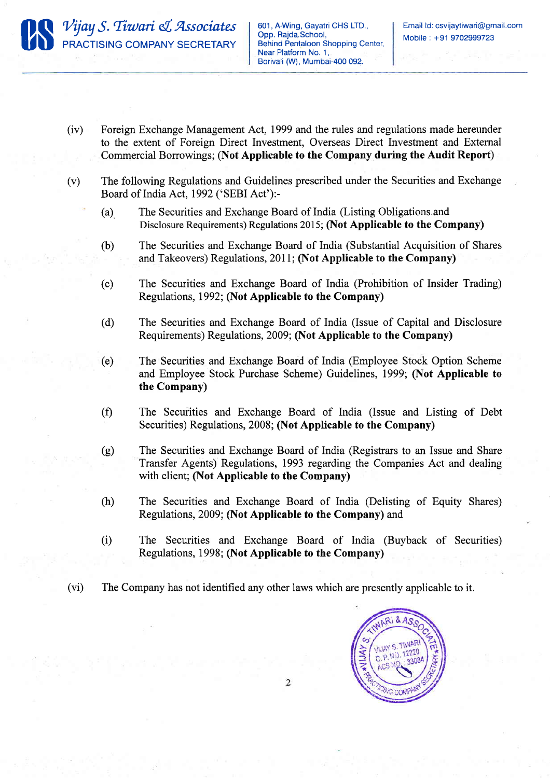

- (iv) Foreign Exchange Management Act, 1999 and the rules and regulations made hereunder to the extent of Foreign Direct Investment, Overseas Direct Investment and External Commercial Borrowings; (Not Applicable to the Company during the Audit Report)
- (v) The following Regulations and Guidelines prescribed under the Securities and Exchange Board of India Act,1992 ('SEBI Act'):-
	- (a) The Securities and Exchange Board of India (Listing Obligations.and Disclosure Requirements) Regulations 2015; (Not Applicable to the Company)
	- (b) The Securities and Exchange Board of India (Substantial Acquisition of Shares and Takeovers) Regulations, 2011; (Not Applicable to the Company)
	- (c) The Securities and Exchange Board of India (Prohibition of Insider Trading) Regulations,1992; (Not Applicable to the Company)
	- (d) The Securities and Exchange Board of India (Issue of Capital and Disclosure Requirements) Regulations, 2009; (Not Applicable to the Company)
	- (e) The Securities and Exchange Board of India (Employee Stock Option Scheme and Employee Stock Purchase Scheme) Guidelines, 1999; (Not Applicable to the Company)
	- (f) The Securities and Exchange Board of India (Issue and Listing of Debt Securities) Regulations, 2008; (Not Applicable to the Company)
	- (g) The Securities and Exchange Board of India (Registrars to an Issue and Share Transfer Agents) Regulations, 1993 regarding the Companies Act and dealing with client; (Not Applicable to the Company)
	- (h) The Securities and Exchange Board of India (Delisting of Equity Shares) Regulations, 2009; (Not Applicable to the Company) and
	- (i) The Securities and Exchange Board of India (Buyback of Securities) Regulations, 1998; (Not Appticable to the Company)
- (vi) The Company has not identified any other laws which are presently applicable to it.